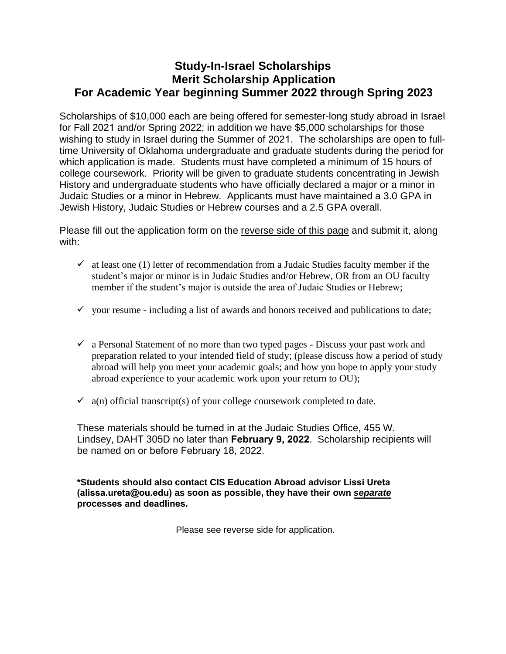## **Study-In-Israel Scholarships Merit Scholarship Application For Academic Year beginning Summer 2022 through Spring 2023**

Scholarships of \$10,000 each are being offered for semester-long study abroad in Israel for Fall 2021 and/or Spring 2022; in addition we have \$5,000 scholarships for those wishing to study in Israel during the Summer of 2021. The scholarships are open to fulltime University of Oklahoma undergraduate and graduate students during the period for which application is made. Students must have completed a minimum of 15 hours of college coursework. Priority will be given to graduate students concentrating in Jewish History and undergraduate students who have officially declared a major or a minor in Judaic Studies or a minor in Hebrew. Applicants must have maintained a 3.0 GPA in Jewish History, Judaic Studies or Hebrew courses and a 2.5 GPA overall.

Please fill out the application form on the reverse side of this page and submit it, along with:

- $\checkmark$  at least one (1) letter of recommendation from a Judaic Studies faculty member if the student's major or minor is in Judaic Studies and/or Hebrew, OR from an OU faculty member if the student's major is outside the area of Judaic Studies or Hebrew;
- $\checkmark$  your resume including a list of awards and honors received and publications to date;
- $\checkmark$  a Personal Statement of no more than two typed pages Discuss your past work and preparation related to your intended field of study; (please discuss how a period of study abroad will help you meet your academic goals; and how you hope to apply your study abroad experience to your academic work upon your return to OU);
- $\checkmark$  a(n) official transcript(s) of your college coursework completed to date.

These materials should be turned in at the Judaic Studies Office, 455 W. Lindsey, DAHT 305D no later than **February 9, 2022**. Scholarship recipients will be named on or before February 18, 2022.

**[\\*Students should also contact CIS Education Abroad advisor](mailto:pellegrini@ou.edu) Lissi Ureta (alissa.ureta@ou.edu) as soon as possible, they have their own** *separate* **processes and deadlines.**

Please see reverse side for application.